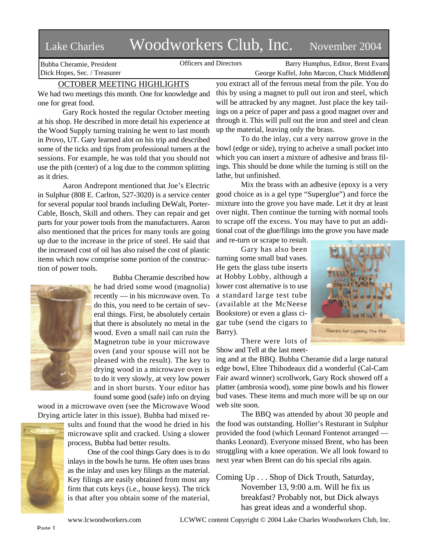## Lake Charles Woodworkers Club, Inc. November 2004

Bubba Cheramie, President Dick Hopes, Sec. / Treasurer

Officers and Directors Barry Humphus, Editor, Brent Evans George Kuffel, John Marcon, Chuck Middleton

## OCTOBER MEETING HIGHLIGHTS

We had two meetings this month. One for knowledge and one for great food.

Gary Rock hosted the regular October meeting at his shop. He described in more detail his experience at the Wood Supply turning training he went to last month in Provo, UT. Gary learned alot on his trip and described some of the ticks and tips from professional turners at the sessions. For example, he was told that you should not use the pith (center) of a log due to the common splitting as it dries.

Aaron Andrepont mentioned that Joe's Electric in Sulphur (808 E. Carlton, 527-3020) is a service center for several popular tool brands including DeWalt, Porter-Cable, Bosch, Skill and others. They can repair and get parts for your power tools from the manufacturers. Aaron also mentioned that the prices for many tools are going up due to the increase in the price of steel. He said that the increased cost of oil has also raised the cost of plastic items which now comprise some portion of the construction of power tools.



Bubba Cheramie described how he had dried some wood (magnolia) recently — in his microwave oven. To do this, you need to be certain of several things. First, be absolutely certain that there is absolutely no metal in the wood. Even a small nail can ruin the Magnetron tube in your microwave oven (and your spouse will not be pleased with the result). The key to drying wood in a microwave oven is to do it very slowly, at very low power and in short bursts. Your editor has found some good (safe) info on drying

wood in a microwave oven (see the Microwave Wood Drying article later in this issue). Bubba had mixed re-



sults and found that the wood he dried in his microwave split and cracked. Using a slower process, Bubba had better results.

One of the cool things Gary does is to do inlays in the bowls he turns. He often uses brass as the inlay and uses key filings as the material. Key filings are easily obtained from most any firm that cuts keys (i.e., house keys). The trick is that after you obtain some of the material,

you extract all of the ferrous metal from the pile. You do this by using a magnet to pull out iron and steel, which will be attracked by any magnet. Just place the key tailings on a peice of paper and pass a good magnet over and through it. This will pull out the iron and steel and clean up the material, leaving only the brass.

To do the inlay, cut a very narrow grove in the bowl (edge or side), trying to acheive a small pocket into which you can insert a mixture of adhesive and brass filings. This should be done while the turning is still on the lathe, but unfinished.

Mix the brass with an adhesive (epoxy is a very good choice as is a gel type "Superglue") and force the mixture into the grove you have made. Let it dry at least over night. Then continue the turning with normal tools to scrape off the excess. You may have to put an additional coat of the glue/filings into the grove you have made

and re-turn or scrape to result. Gary has also been turning some small bud vases. He gets the glass tube inserts at Hobby Lobby, although a lower cost alternative is to use a standard large test tube (available at the McNeese Bookstore) or even a glass cigar tube (send the cigars to Barry).



There were lots of Show and Tell at the last meet-

ing and at the BBQ. Bubba Cheramie did a large natural edge bowl, Eltee Thibodeaux did a wonderful (Cal-Cam Fair award winner) scrollwork, Gary Rock showed off a platter (ambrosia wood), some pine bowls and his flower bud vases. These items and much more will be up on our web site soon.

The BBQ was attended by about 30 people and the food was outstanding. Hollier's Resturant in Sulphur provided the food (which Leonard Fontenot arranged thanks Leonard). Everyone missed Brent, who has been struggling with a knee operation. We all look foward to next year when Brent can do his special ribs again.

Coming Up . . . Shop of Dick Trouth, Saturday, November 13, 9:00 a.m. Will he fix us breakfast? Probably not, but Dick always has great ideas and a wonderful shop.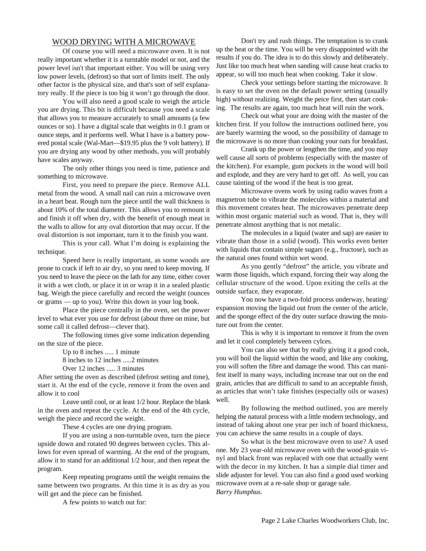## WOOD DRYING WITH A MICROWAVE

Of course you will need a microwave oven. It is not really important whether it is a turntable model or not, and the power level isn't that important either. You will be using very low power levels, (defrost) so that sort of limits itself. The only other factor is the physical size, and that's sort of self explanatory really. If the piece is too big it won't go through the door.

You will also need a good scale to weigh the article you are drying. This bit is difficult because you need a scale that allows you to measure accurately to small amounts (a few ounces or so). I have a digital scale that weights in 0.1 gram or ounce steps, and it performs well. What I have is a battery powered postal scale (Wal-Mart—\$19.95 plus the 9 volt battery). If you are drying any wood by other methods, you will probably have scales anyway.

The only other things you need is time, patience and something to microwave.

First, you need to prepare the piece. Remove ALL metal from the wood. A small nail can ruin a microwave oven in a heart beat. Rough turn the piece until the wall thickness is about 10% of the total diameter. This allows you to remount it and finish it off when dry, with the benefit of enough meat in the walls to allow for any oval distortion that may occur. If the oval distortion is not important, turn it to the finish you want.

This is your call. What I'm doing is explaining the technique.

Speed here is really important, as some woods are prone to crack if left to air dry, so you need to keep moving. If you need to leave the piece on the lath for any time, either cover it with a wet cloth, or place it in or wrap it in a sealed plastic bag. Weigh the piece carefully and record the weight (ounces or grams — up to you). Write this down in your log book.

Place the piece centrally in the oven, set the power level to what ever you use for defrost (about three on mine, but some call it called defrost—clever that).

The following times give some indication depending on the size of the piece.

Up to 8 inches ..... 1 minute

8 inches to 12 inches .....2 minutes

Over 12 inches ..... 3 minutes

After setting the oven as described (defrost setting and time), start it. At the end of the cycle, remove it from the oven and allow it to cool

Leave until cool, or at least 1/2 hour. Replace the blank in the oven and repeat the cycle. At the end of the 4th cycle, weigh the piece and record the weight.

These 4 cycles are one drying program.

If you are using a non-turntable oven, turn the piece upside down and rotated 90 degrees between cycles. This allows for even spread of warming. At the end of the program, allow it to stand for an additional 1/2 hour, and then repeat the program.

Keep repeating programs until the weight remains the same between two programs. At this time it is as dry as you will get and the piece can be finished.

A few points to watch out for:

Don't try and rush things. The temptation is to crank up the heat or the time. You will be very disappointed with the results if you do. The idea is to do this slowly and deliberately. Just like too much heat when sanding will cause heat cracks to appear, so will too much heat when cooking. Take it slow.

Check your settings before starting the microwave. It is easy to set the oven on the default power setting (usually high) without realizing. Weight the peice first, then start cooking. The results are again, too much heat will ruin the work.

Check out what your are doing with the master of the kitchen first. If you follow the instructions outlined here, you are barely warming the wood, so the possibility of damage to the microwave is no more than cooking your oats for breakfast.

Crank up the power or lengthen the time, and you may well cause all sorts of problems (especially with the master of the kitchen). For example, gum pockets in the wood will boil and explode, and they are very hard to get off. As well, you can cause tainting of the wood if the heat is too great.

Microwave ovens work by using radio waves from a magnetron tube to vibrate the molecules within a material and this movement creates heat. The microwaves penetrate deep within most organic material such as wood. That is, they will penetrate almost anything that is not metalic.

The molecules in a liquid (water and sap) are easier to vibrate than those in a solid (wood). This works even better with liquids that contain simple sugars (e.g., fructose), such as the natural ones found within wet wood.

As you gently "defrost" the article, you vibrate and warm those liquids, which expand, forcing their way along the cellular structure of the wood. Upon exiting the cells at the outside surface, they evaporate.

You now have a two-fold process underway, heating/ expansion moving the liquid out from the center of the article, and the sponge effect of the dry outer surface drawing the moisture out from the center.

This is why it is important to remove it from the oven and let it cool completely between cylces.

You can also see that by really giving it a good cook, you will boil the liquid within the wood, and like any cooking, you will soften the fibre and damage the wood. This can manifest itself in many ways, including increase tear out on the end grain, articles that are difficult to sand to an acceptable finish, as articles that won't take finishes (especially oils or waxes) well.

By following the method outlined, you are merely helping the natural process with a little modern technology, and instead of taking about one year per inch of board thickness, you can achieve the same results in a couple of days.

So what is the best microwave oven to use? A used one. My 23 year-old microwave oven with the wood-grain vinyl and black front was replaced with one that actually went with the decor in my kitchen. It has a simple dial timer and slide adjuster for level. You can also find a good used working microwave oven at a re-sale shop or garage sale. *Barry Humphus.*